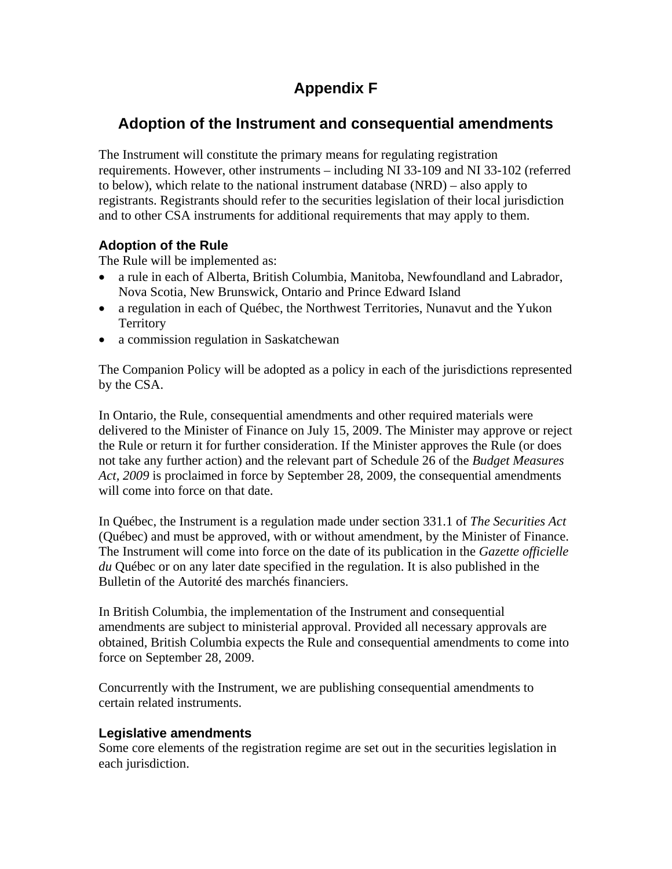# **Appendix F**

## **Adoption of the Instrument and consequential amendments**

The Instrument will constitute the primary means for regulating registration requirements. However, other instruments – including NI 33-109 and NI 33-102 (referred to below), which relate to the national instrument database (NRD) – also apply to registrants. Registrants should refer to the securities legislation of their local jurisdiction and to other CSA instruments for additional requirements that may apply to them.

## **Adoption of the Rule**

The Rule will be implemented as:

- a rule in each of Alberta, British Columbia, Manitoba, Newfoundland and Labrador, Nova Scotia, New Brunswick, Ontario and Prince Edward Island
- a regulation in each of Québec, the Northwest Territories, Nunavut and the Yukon **Territory**
- a commission regulation in Saskatchewan

The Companion Policy will be adopted as a policy in each of the jurisdictions represented by the CSA.

In Ontario, the Rule, consequential amendments and other required materials were delivered to the Minister of Finance on July 15, 2009. The Minister may approve or reject the Rule or return it for further consideration. If the Minister approves the Rule (or does not take any further action) and the relevant part of Schedule 26 of the *Budget Measures Act, 2009* is proclaimed in force by September 28, 2009, the consequential amendments will come into force on that date.

In Québec, the Instrument is a regulation made under section 331.1 of *The Securities Act*  (Québec) and must be approved, with or without amendment, by the Minister of Finance. The Instrument will come into force on the date of its publication in the *Gazette officielle du* Québec or on any later date specified in the regulation. It is also published in the Bulletin of the Autorité des marchés financiers.

In British Columbia, the implementation of the Instrument and consequential amendments are subject to ministerial approval. Provided all necessary approvals are obtained, British Columbia expects the Rule and consequential amendments to come into force on September 28, 2009.

Concurrently with the Instrument, we are publishing consequential amendments to certain related instruments.

### **Legislative amendments**

Some core elements of the registration regime are set out in the securities legislation in each jurisdiction.